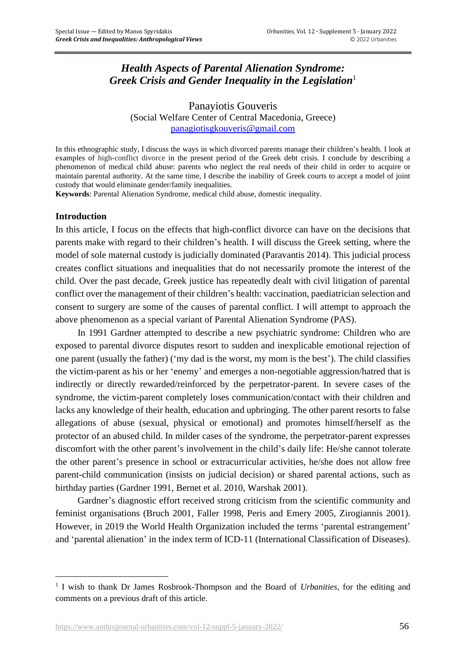# *Health Aspects of Parental Alienation Syndrome: Greek Crisis and Gender Inequality in the Legislation*<sup>1</sup>

Panayiotis Gouveris (Social Welfare Center of Central Macedonia, Greece) [panagiotisgkouveris@gmail.com](mailto:panagiotisgkouveris@gmail.com)

In this ethnographic study, I discuss the ways in which divorced parents manage their children's health. I look at examples of high-conflict divorce in the present period of the Greek debt crisis. I conclude by describing a phenomenon of medical child abuse: parents who neglect the real needs of their child in order to acquire or maintain parental authority. At the same time, I describe the inability of Greek courts to accept a model of joint custody that would eliminate gender/family inequalities.

**Keywords**: Parental Alienation Syndrome, medical child abuse, domestic inequality.

### **Introduction**

In this article, I focus on the effects that high-conflict divorce can have on the decisions that parents make with regard to their children's health. I will discuss the Greek setting, where the model of sole maternal custody is judicially dominated (Paravantis 2014). This judicial process creates conflict situations and inequalities that do not necessarily promote the interest of the child. Over the past decade, Greek justice has repeatedly dealt with civil litigation of parental conflict over the management of their children's health: vaccination, paediatrician selection and consent to surgery are some of the causes of parental conflict. I will attempt to approach the above phenomenon as a special variant of Parental Alienation Syndrome (PAS).

In 1991 Gardner attempted to describe a new psychiatric syndrome: Children who are exposed to parental divorce disputes resort to sudden and inexplicable emotional rejection of one parent (usually the father) ('my dad is the worst, my mom is the best'). The child classifies the victim-parent as his or her 'enemy' and emerges a non-negotiable aggression/hatred that is indirectly or directly rewarded/reinforced by the perpetrator-parent. In severe cases of the syndrome, the victim-parent completely loses communication/contact with their children and lacks any knowledge of their health, education and upbringing. The other parent resorts to false allegations of abuse (sexual, physical or emotional) and promotes himself/herself as the protector of an abused child. In milder cases of the syndrome, the perpetrator-parent expresses discomfort with the other parent's involvement in the child's daily life: He/she cannot tolerate the other parent's presence in school or extracurricular activities, he/she does not allow free parent-child communication (insists on judicial decision) or shared parental actions, such as birthday parties (Gardner 1991, Bernet et al. 2010, Warshak 2001).

Gardner's diagnostic effort received strong criticism from the scientific community and feminist organisations (Bruch 2001, Faller 1998, Peris and Emery 2005, Zirogiannis 2001). However, in 2019 the World Health Organization included the terms 'parental estrangement' and 'parental alienation' in the index term of ICD-11 (International Classification of Diseases).

<sup>&</sup>lt;sup>1</sup> I wish to thank Dr James Rosbrook-Thompson and the Board of *Urbanities*, for the editing and comments on a previous draft of this article.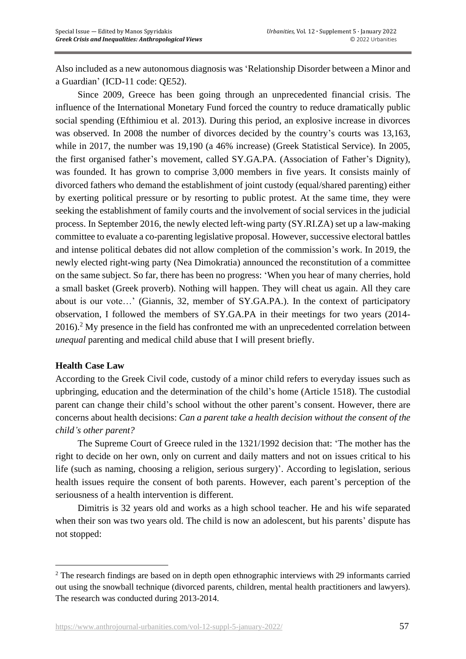Also included as a new autonomous diagnosis was 'Relationship Disorder between a Minor and a Guardian' (ICD-11 code: QE52).

Since 2009, Greece has been going through an unprecedented financial crisis. The influence of the International Monetary Fund forced the country to reduce dramatically public social spending (Efthimiou et al. 2013). During this period, an explosive increase in divorces was observed. In 2008 the number of divorces decided by the country's courts was 13,163, while in 2017, the number was 19,190 (a 46% increase) (Greek Statistical Service). In 2005, the first organised father's movement, called SY.GA.PA. (Association of Father's Dignity), was founded. It has grown to comprise 3,000 members in five years. It consists mainly of divorced fathers who demand the establishment of joint custody (equal/shared parenting) either by exerting political pressure or by resorting to public protest. At the same time, they were seeking the establishment of family courts and the involvement of social services in the judicial process. In September 2016, the newly elected left-wing party (SY.RI.ZA) set up a law-making committee to evaluate a co-parenting legislative proposal. However, successive electoral battles and intense political debates did not allow completion of the commission's work. In 2019, the newly elected right-wing party (Nea Dimokratia) announced the reconstitution of a committee on the same subject. So far, there has been no progress: 'When you hear of many cherries, hold a small basket (Greek proverb). Nothing will happen. They will cheat us again. All they care about is our vote…' (Giannis, 32, member of SY.GA.PA.). In the context of participatory observation, I followed the members of SY.GA.PA in their meetings for two years (2014-  $2016$ .<sup>2</sup> My presence in the field has confronted me with an unprecedented correlation between *unequal* parenting and medical child abuse that I will present briefly.

### **Health Case Law**

According to the Greek Civil code, custody of a minor child refers to everyday issues such as upbringing, education and the determination of the child's home (Article 1518). The custodial parent can change their child's school without the other parent's consent. However, there are concerns about health decisions: *Can a parent take a health decision without the consent of the child's other parent?*

The Supreme Court of Greece ruled in the 1321/1992 decision that: 'The mother has the right to decide on her own, only on current and daily matters and not on issues critical to his life (such as naming, choosing a religion, serious surgery)'. According to legislation, serious health issues require the consent of both parents. However, each parent's perception of the seriousness of a health intervention is different.

Dimitris is 32 years old and works as a high school teacher. He and his wife separated when their son was two years old. The child is now an adolescent, but his parents' dispute has not stopped:

<sup>&</sup>lt;sup>2</sup> The research findings are based on in depth open ethnographic interviews with 29 informants carried out using the snowball technique (divorced parents, children, mental health practitioners and lawyers). The research was conducted during 2013-2014.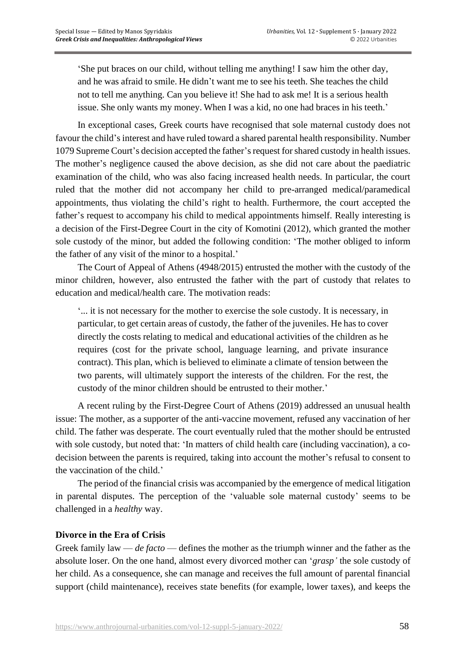'She put braces on our child, without telling me anything! I saw him the other day, and he was afraid to smile. He didn't want me to see his teeth. She teaches the child not to tell me anything. Can you believe it! She had to ask me! It is a serious health issue. She only wants my money. When I was a kid, no one had braces in his teeth.'

In exceptional cases, Greek courts have recognised that sole maternal custody does not favour the child's interest and have ruled toward a shared parental health responsibility. Number 1079 Supreme Court's decision accepted the father's request for shared custody in health issues. The mother's negligence caused the above decision, as she did not care about the paediatric examination of the child, who was also facing increased health needs. In particular, the court ruled that the mother did not accompany her child to pre-arranged medical/paramedical appointments, thus violating the child's right to health. Furthermore, the court accepted the father's request to accompany his child to medical appointments himself. Really interesting is a decision of the First-Degree Court in the city of Komotini (2012), which granted the mother sole custody of the minor, but added the following condition: 'The mother obliged to inform the father of any visit of the minor to a hospital.'

The Court of Appeal of Athens (4948/2015) entrusted the mother with the custody of the minor children, however, also entrusted the father with the part of custody that relates to education and medical/health care. The motivation reads:

'... it is not necessary for the mother to exercise the sole custody. Ιt is necessary, in particular, to get certain areas of custody, the father of the juveniles. He has to cover directly the costs relating to medical and educational activities of the children as he requires (cost for the private school, language learning, and private insurance contract). This plan, which is believed to eliminate a climate of tension between the two parents, will ultimately support the interests of the children. For the rest, the custody of the minor children should be entrusted to their mother.'

A recent ruling by the First-Degree Court of Athens (2019) addressed an unusual health issue: The mother, as a supporter of the anti-vaccine movement, refused any vaccination of her child. The father was desperate. The court eventually ruled that the mother should be entrusted with sole custody, but noted that: 'In matters of child health care (including vaccination), a codecision between the parents is required, taking into account the mother's refusal to consent to the vaccination of the child.'

The period of the financial crisis was accompanied by the emergence of medical litigation in parental disputes. The perception of the 'valuable sole maternal custody' seems to be challenged in a *healthy* way.

# **Divorce in the Era of Crisis**

Greek family law — *de facto* — defines the mother as the triumph winner and the father as the absolute loser. On the one hand, almost every divorced mother can '*grasp'* the sole custody of her child. As a consequence, she can manage and receives the full amount of parental financial support (child maintenance), receives state benefits (for example, lower taxes), and keeps the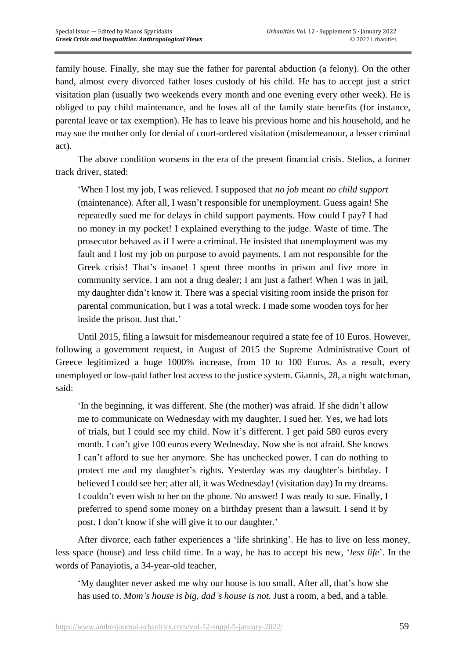family house. Finally, she may sue the father for parental abduction (a felony). On the other hand, almost every divorced father loses custody of his child. He has to accept just a strict visitation plan (usually two weekends every month and one evening every other week). He is obliged to pay child maintenance, and he loses all of the family state benefits (for instance, parental leave or tax exemption). He has to leave his previous home and his household, and he may sue the mother only for denial of court-ordered visitation (misdemeanour, a lesser criminal act).

The above condition worsens in the era of the present financial crisis. Stelios, a former track driver, stated:

'When I lost my job, I was relieved. I supposed that *no job* meant *no child support* (maintenance). After all, I wasn't responsible for unemployment. Guess again! She repeatedly sued me for delays in child support payments. How could I pay? I had no money in my pocket! I explained everything to the judge. Waste of time. The prosecutor behaved as if I were a criminal. He insisted that unemployment was my fault and I lost my job on purpose to avoid payments. I am not responsible for the Greek crisis! That's insane! I spent three months in prison and five more in community service. I am not a drug dealer; I am just a father! When I was in jail, my daughter didn't know it. There was a special visiting room inside the prison for parental communication, but I was a total wreck. I made some wooden toys for her inside the prison. Just that.'

Until 2015, filing a lawsuit for misdemeanour required a state fee of 10 Euros. However, following a government request, in August of 2015 the Supreme Administrative Court of Greece legitimized a huge 1000% increase, from 10 to 100 Euros. As a result, every unemployed or low-paid father lost access to the justice system. Giannis, 28, a night watchman, said:

'In the beginning, it was different. She (the mother) was afraid. If she didn't allow me to communicate on Wednesday with my daughter, I sued her. Yes, we had lots of trials, but I could see my child. Now it's different. I get paid 580 euros every month. I can't give 100 euros every Wednesday. Now she is not afraid. She knows I can't afford to sue her anymore. She has unchecked power. I can do nothing to protect me and my daughter's rights. Yesterday was my daughter's birthday. I believed I could see her; after all, it was Wednesday! (visitation day) In my dreams. I couldn't even wish to her on the phone. No answer! I was ready to sue. Finally, I preferred to spend some money on a birthday present than a lawsuit. I send it by post. I don't know if she will give it to our daughter.'

After divorce, each father experiences a 'life shrinking'. He has to live on less money, less space (house) and less child time. In a way, he has to accept his new, '*less life*'. In the words of Panayiotis, a 34-year-old teacher,

'My daughter never asked me why our house is too small. After all, that's how she has used to. *Mom's house is big, dad's house is not.* Just a room, a bed, and a table.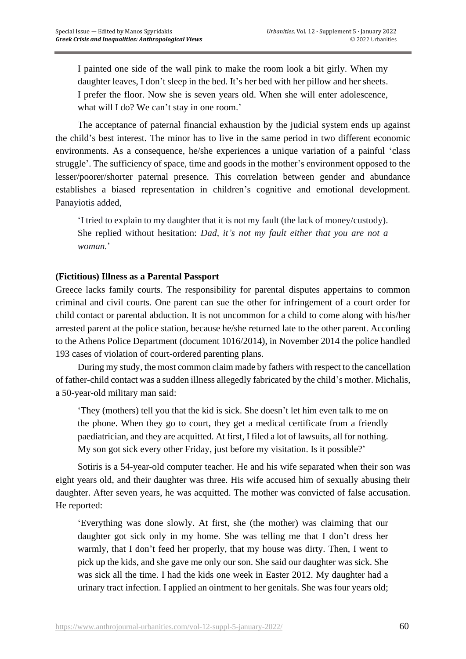I painted one side of the wall pink to make the room look a bit girly. When my daughter leaves, I don't sleep in the bed. It's her bed with her pillow and her sheets. I prefer the floor. Now she is seven years old. When she will enter adolescence, what will I do? We can't stay in one room.'

The acceptance of paternal financial exhaustion by the judicial system ends up against the child's best interest. The minor has to live in the same period in two different economic environments. As a consequence, he/she experiences a unique variation of a painful 'class struggle'. The sufficiency of space, time and goods in the mother's environment opposed to the lesser/poorer/shorter paternal presence. This correlation between gender and abundance establishes a biased representation in children's cognitive and emotional development. Panayiotis added,

'I tried to explain to my daughter that it is not my fault (the lack of money/custody). She replied without hesitation: *Dad, it's not my fault either that you are not a woman.*'

### **(Fictitious) Illness as a Parental Passport**

Greece lacks family courts. The responsibility for parental disputes appertains to common criminal and civil courts. One parent can sue the other for infringement of a court order for child contact or parental abduction. It is not uncommon for a child to come along with his/her arrested parent at the police station, because he/she returned late to the other parent. According to the Athens Police Department (document 1016/2014), in November 2014 the police handled 193 cases of violation of court-ordered parenting plans.

During my study, the most common claim made by fathers with respect to the cancellation of father-child contact was a sudden illness allegedly fabricated by the child's mother. Michalis, a 50-year-old military man said:

'They (mothers) tell you that the kid is sick. She doesn't let him even talk to me on the phone. When they go to court, they get a medical certificate from a friendly paediatrician, and they are acquitted. At first, I filed a lot of lawsuits, all for nothing. My son got sick every other Friday, just before my visitation. Is it possible?'

Sotiris is a 54-year-old computer teacher. He and his wife separated when their son was eight years old, and their daughter was three. His wife accused him of sexually abusing their daughter. After seven years, he was acquitted. The mother was convicted of false accusation. He reported:

'Everything was done slowly. At first, she (the mother) was claiming that our daughter got sick only in my home. She was telling me that I don't dress her warmly, that I don't feed her properly, that my house was dirty. Then, I went to pick up the kids, and she gave me only our son. She said our daughter was sick. She was sick all the time. I had the kids one week in Easter 2012. My daughter had a urinary tract infection. I applied an ointment to her genitals. She was four years old;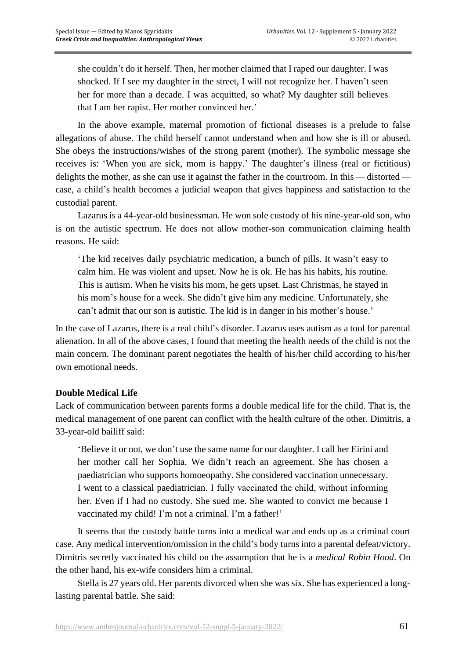she couldn't do it herself. Then, her mother claimed that I raped our daughter. I was shocked. If I see my daughter in the street, I will not recognize her. I haven't seen her for more than a decade. I was acquitted, so what? My daughter still believes that I am her rapist. Her mother convinced her.'

In the above example, maternal promotion of fictional diseases is a prelude to false allegations of abuse. The child herself cannot understand when and how she is ill or abused. She obeys the instructions/wishes of the strong parent (mother). The symbolic message she receives is: 'When you are sick, mom is happy.' The daughter's illness (real or fictitious) delights the mother, as she can use it against the father in the courtroom. In this *—* distorted  case, a child's health becomes a judicial weapon that gives happiness and satisfaction to the custodial parent.

Lazarus is a 44-year-old businessman. He won sole custody of his nine-year-old son, who is on the autistic spectrum. He does not allow mother-son communication claiming health reasons. He said:

'The kid receives daily psychiatric medication, a bunch of pills. It wasn't easy to calm him. He was violent and upset. Now he is ok. He has his habits, his routine. This is autism. When he visits his mom, he gets upset. Last Christmas, he stayed in his mom's house for a week. She didn't give him any medicine. Unfortunately, she can't admit that our son is autistic. The kid is in danger in his mother's house.'

In the case of Lazarus, there is a real child's disorder. Lazarus uses autism as a tool for parental alienation. In all of the above cases, I found that meeting the health needs of the child is not the main concern. The dominant parent negotiates the health of his/her child according to his/her own emotional needs.

# **Double Medical Life**

Lack of communication between parents forms a double medical life for the child. That is, the medical management of one parent can conflict with the health culture of the other. Dimitris, a 33-year-old bailiff said:

'Believe it or not, we don't use the same name for our daughter. I call her Eirini and her mother call her Sophia. We didn't reach an agreement. She has chosen a paediatrician who supports homoeopathy. She considered vaccination unnecessary. I went to a classical paediatrician. Ι fully vaccinated the child, without informing her. Even if I had no custody. She sued me. She wanted to convict me because I vaccinated my child! I'm not a criminal. I'm a father!'

It seems that the custody battle turns into a medical war and ends up as a criminal court case. Any medical intervention/omission in the child's body turns into a parental defeat/victory. Dimitris secretly vaccinated his child on the assumption that he is a *medical Robin Hood*. On the other hand, his ex-wife considers him a criminal.

Stella is 27 years old. Her parents divorced when she was six. She has experienced a longlasting parental battle. She said: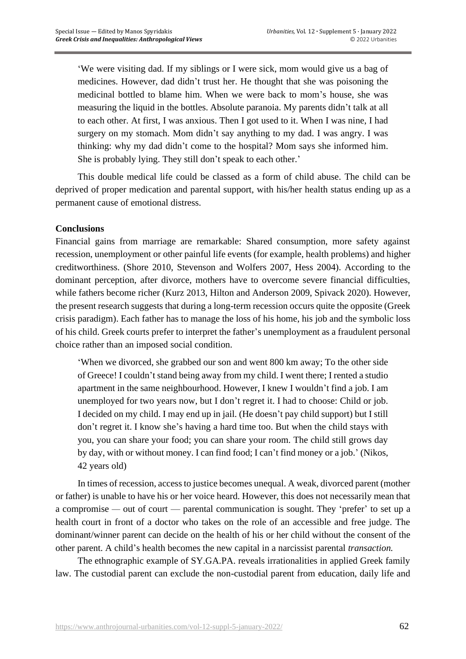'We were visiting dad. If my siblings or I were sick, mom would give us a bag of medicines. However, dad didn't trust her. He thought that she was poisoning the medicinal bottled to blame him. When we were back to mom's house, she was measuring the liquid in the bottles. Absolute paranoia. My parents didn't talk at all to each other. At first, I was anxious. Then I got used to it. When I was nine, I had surgery on my stomach. Mom didn't say anything to my dad. I was angry. I was thinking: why my dad didn't come to the hospital? Mom says she informed him. She is probably lying. They still don't speak to each other.'

This double medical life could be classed as a form of child abuse. The child can be deprived of proper medication and parental support, with his/her health status ending up as a permanent cause of emotional distress.

### **Conclusions**

Financial gains from marriage are remarkable: Shared consumption, more safety against recession, unemployment or other painful life events (for example, health problems) and higher creditworthiness. (Shore 2010, Stevenson and Wolfers 2007, Hess 2004). According to the dominant perception, after divorce, mothers have to overcome severe financial difficulties, while fathers become richer (Kurz 2013, Hilton and Anderson 2009, Spivack 2020). However, the present research suggests that during a long-term recession occurs quite the opposite (Greek crisis paradigm). Each father has to manage the loss of his home, his job and the symbolic loss of his child. Greek courts prefer to interpret the father's unemployment as a fraudulent personal choice rather than an imposed social condition.

'When we divorced, she grabbed our son and went 800 km away; To the other side of Greece! I couldn't stand being away from my child. I went there; I rented a studio apartment in the same neighbourhood. However, I knew I wouldn't find a job. I am unemployed for two years now, but I don't regret it. I had to choose: Child or job. I decided on my child. I may end up in jail. (He doesn't pay child support) but I still don't regret it. I know she's having a hard time too. But when the child stays with you, you can share your food; you can share your room. The child still grows day by day, with or without money. I can find food; I can't find money or a job.' (Nikos, 42 years old)

In times of recession, access to justice becomes unequal. A weak, divorced parent (mother or father) is unable to have his or her voice heard. However, this does not necessarily mean that a compromise *—* out of court — parental communication is sought. They 'prefer' to set up a health court in front of a doctor who takes on the role of an accessible and free judge. The dominant/winner parent can decide on the health of his or her child without the consent of the other parent. A child's health becomes the new capital in a narcissist parental *transaction.*

The ethnographic example of SY.GA.PA. reveals irrationalities in applied Greek family law. The custodial parent can exclude the non-custodial parent from education, daily life and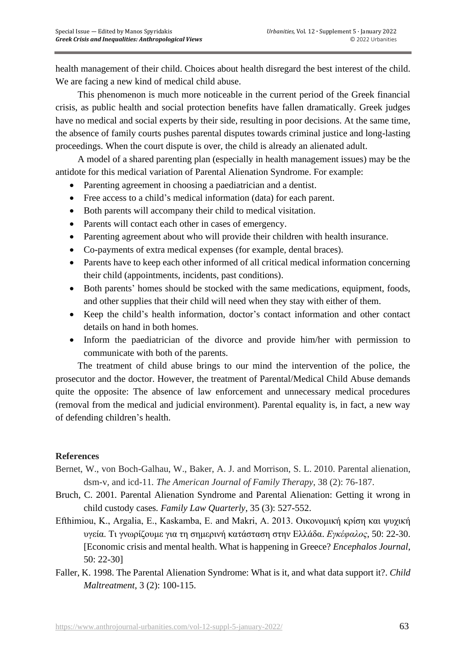health management of their child. Choices about health disregard the best interest of the child. We are facing a new kind of medical child abuse.

This phenomenon is much more noticeable in the current period of the Greek financial crisis, as public health and social protection benefits have fallen dramatically. Greek judges have no medical and social experts by their side, resulting in poor decisions. At the same time, the absence of family courts pushes parental disputes towards criminal justice and long-lasting proceedings. When the court dispute is over, the child is already an alienated adult.

A model of a shared parenting plan (especially in health management issues) may be the antidote for this medical variation of Parental Alienation Syndrome. For example:

- Parenting agreement in choosing a paediatrician and a dentist.
- Free access to a child's medical information (data) for each parent.
- Both parents will accompany their child to medical visitation.
- Parents will contact each other in cases of emergency.
- Parenting agreement about who will provide their children with health insurance.
- Co-payments of extra medical expenses (for example, dental braces).
- Parents have to keep each other informed of all critical medical information concerning their child (appointments, incidents, past conditions).
- Both parents' homes should be stocked with the same medications, equipment, foods, and other supplies that their child will need when they stay with either of them.
- Keep the child's health information, doctor's contact information and other contact details on hand in both homes.
- Inform the paediatrician of the divorce and provide him/her with permission to communicate with both of the parents.

The treatment of child abuse brings to our mind the intervention of the police, the prosecutor and the doctor. However, the treatment of Parental/Medical Child Abuse demands quite the opposite: The absence of law enforcement and unnecessary medical procedures (removal from the medical and judicial environment). Parental equality is, in fact, a new way of defending children's health.

### **References**

- Bernet, W., von Boch-Galhau, W., Baker, A. J. and Morrison, S. L. 2010. Parental alienation, dsm-v, and icd-11*. The American Journal of Family Therapy*, 38 (2): 76-187.
- Bruch, C. 2001*.* Parental Alienation Syndrome and Parental Alienation: Getting it wrong in child custody cases*. Family Law Quarterly*, 35 (3): 527-552.
- Εfthimiou, K., Argalia, Ε., Kaskamba, E. and Makri, A. 2013. Οικονομική κρίση και ψυχική υγεία. Τι γνωρίζουμε για τη σημερινή κατάσταση στην Ελλάδα. *Eγκέφαλος*, 50: 22-30. [Economic crisis and mental health. What is happening in Greece? *Encephalos Journal*, 50: 22-30]
- Faller, K. 1998. The Parental Alienation Syndrome: What is it, and what data support it?. *Child Maltreatment*, 3 (2): 100-115.